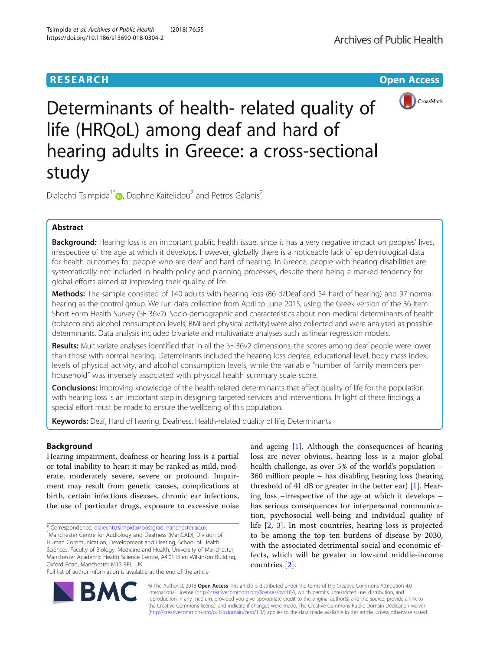# **RESEARCH CHE Open Access**



Determinants of health- related quality of life (HRQoL) among deaf and hard of hearing adults in Greece: a cross-sectional study

Dialechti Tsimpida<sup>1[\\*](http://orcid.org/0000-0002-3709-5651)</sup>  $\bullet$ , Daphne Kaitelidou<sup>2</sup> and Petros Galanis<sup>2</sup>

# Abstract

Background: Hearing loss is an important public health issue, since it has a very negative impact on peoples' lives, irrespective of the age at which it develops. However, globally there is a noticeable lack of epidemiological data for health outcomes for people who are deaf and hard of hearing. In Greece, people with hearing disabilities are systematically not included in health policy and planning processes, despite there being a marked tendency for global efforts aimed at improving their quality of life.

Methods: The sample consisted of 140 adults with hearing loss (86 d/Deaf and 54 hard of hearing) and 97 normal hearing as the control group. We run data collection from April to June 2015, using the Greek version of the 36-Item Short Form Health Survey (SF-36v2). Socio-demographic and characteristics about non-medical determinants of health (tobacco and alcohol consumption levels, BMI and physical activity).were also collected and were analysed as possible determinants. Data analysis included bivariate and multivariate analyses such as linear regression models.

Results: Multivariate analyses identified that in all the SF-36v2 dimensions, the scores among deaf people were lower than those with normal hearing. Determinants included the hearing loss degree, educational level, body mass index, levels of physical activity, and alcohol consumption levels, while the variable "number of family members per household" was inversely associated with physical health summary scale score.

**Conclusions:** Improving knowledge of the health-related determinants that affect quality of life for the population with hearing loss is an important step in designing targeted services and interventions. In light of these findings, a special effort must be made to ensure the wellbeing of this population.

Keywords: Deaf, Hard of hearing, Deafness, Health-related quality of life, Determinants

# Background

Hearing impairment, deafness or hearing loss is a partial or total inability to hear: it may be ranked as mild, moderate, moderately severe, severe or profound. Impairment may result from genetic causes, complications at birth, certain infectious diseases, chronic ear infections, the use of particular drugs, exposure to excessive noise

\* Correspondence: [dialechti.tsimpida@postgrad.manchester.ac.uk](mailto:dialechti.tsimpida@postgrad.manchester.ac.uk) <sup>1</sup>

<sup>1</sup> Manchester Centre for Audiology and Deafness (ManCAD), Division of Human Communication, Development and Hearing, School of Health Sciences, Faculty of Biology, Medicine and Health, University of Manchester, Manchester Academic Health Science Centre, A4.01 Ellen Wilkinson Building, Oxford Road, Manchester M13 9PL, UK

Full list of author information is available at the end of the article

and ageing [[1](#page-9-0)]. Although the consequences of hearing loss are never obvious, hearing loss is a major global health challenge, as over 5% of the world's population – 360 million people – has disabling hearing loss (hearing threshold of 41 dB or greater in the better ear) [\[1\]](#page-9-0). Hearing loss –irrespective of the age at which it develops – has serious consequences for interpersonal communication, psychosocial well-being and individual quality of life [[2,](#page-9-0) [3](#page-9-0)]. In most countries, hearing loss is projected to be among the top ten burdens of disease by 2030, with the associated detrimental social and economic effects, which will be greater in low-and middle-income countries [[2\]](#page-9-0).



© The Author(s). 2018 Open Access This article is distributed under the terms of the Creative Commons Attribution 4.0 International License [\(http://creativecommons.org/licenses/by/4.0/](http://creativecommons.org/licenses/by/4.0/)), which permits unrestricted use, distribution, and reproduction in any medium, provided you give appropriate credit to the original author(s) and the source, provide a link to the Creative Commons license, and indicate if changes were made. The Creative Commons Public Domain Dedication waiver [\(http://creativecommons.org/publicdomain/zero/1.0/](http://creativecommons.org/publicdomain/zero/1.0/)) applies to the data made available in this article, unless otherwise stated.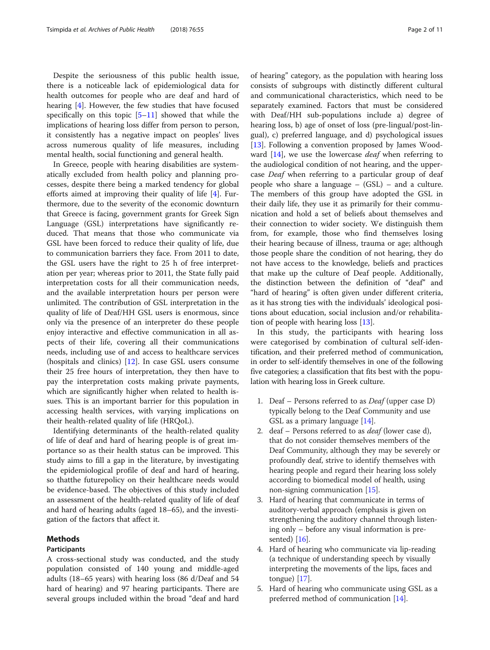Despite the seriousness of this public health issue, there is a noticeable lack of epidemiological data for health outcomes for people who are deaf and hard of hearing [\[4](#page-9-0)]. However, the few studies that have focused specifically on this topic [[5](#page-9-0)–[11](#page-10-0)] showed that while the implications of hearing loss differ from person to person, it consistently has a negative impact on peoples' lives across numerous quality of life measures, including mental health, social functioning and general health.

In Greece, people with hearing disabilities are systematically excluded from health policy and planning processes, despite there being a marked tendency for global efforts aimed at improving their quality of life  $[4]$  $[4]$ . Furthermore, due to the severity of the economic downturn that Greece is facing, government grants for Greek Sign Language (GSL) interpretations have significantly reduced. That means that those who communicate via GSL have been forced to reduce their quality of life, due to communication barriers they face. From 2011 to date, the GSL users have the right to 25 h of free interpretation per year; whereas prior to 2011, the State fully paid interpretation costs for all their communication needs, and the available interpretation hours per person were unlimited. The contribution of GSL interpretation in the quality of life of Deaf/HH GSL users is enormous, since only via the presence of an interpreter do these people enjoy interactive and effective communication in all aspects of their life, covering all their communications needs, including use of and access to healthcare services (hospitals and clinics) [[12](#page-10-0)]. In case GSL users consume their 25 free hours of interpretation, they then have to pay the interpretation costs making private payments, which are significantly higher when related to health issues. This is an important barrier for this population in accessing health services, with varying implications on their health-related quality of life (HRQoL).

Identifying determinants of the health-related quality of life of deaf and hard of hearing people is of great importance so as their health status can be improved. This study aims to fill a gap in the literature, by investigating the epidemiological profile of deaf and hard of hearing, so thatthe futurepolicy on their healthcare needs would be evidence-based. The objectives of this study included an assessment of the health-related quality of life of deaf and hard of hearing adults (aged 18–65), and the investigation of the factors that affect it.

### Methods

### Participants

A cross-sectional study was conducted, and the study population consisted of 140 young and middle-aged adults (18–65 years) with hearing loss (86 d/Deaf and 54 hard of hearing) and 97 hearing participants. There are several groups included within the broad "deaf and hard of hearing" category, as the population with hearing loss consists of subgroups with distinctly different cultural and communicational characteristics, which need to be separately examined. Factors that must be considered with Deaf/HH sub-populations include a) degree of hearing loss, b) age of onset of loss (pre-lingual/post-lingual), c) preferred language, and d) psychological issues [[13\]](#page-10-0). Following a convention proposed by James Woodward  $[14]$  $[14]$ , we use the lowercase *deaf* when referring to the audiological condition of not hearing, and the uppercase Deaf when referring to a particular group of deaf people who share a language  $-$  (GSL)  $-$  and a culture. The members of this group have adopted the GSL in their daily life, they use it as primarily for their communication and hold a set of beliefs about themselves and their connection to wider society. We distinguish them from, for example, those who find themselves losing

their hearing because of illness, trauma or age; although those people share the condition of not hearing, they do not have access to the knowledge, beliefs and practices that make up the culture of Deaf people. Additionally, the distinction between the definition of "deaf" and "hard of hearing" is often given under different criteria, as it has strong ties with the individuals' ideological positions about education, social inclusion and/or rehabilitation of people with hearing loss [\[13](#page-10-0)].

In this study, the participants with hearing loss were categorised by combination of cultural self-identification, and their preferred method of communication, in order to self-identify themselves in one of the following five categories; a classification that fits best with the population with hearing loss in Greek culture.

- 1. Deaf Persons referred to as Deaf (upper case D) typically belong to the Deaf Community and use GSL as a primary language [[14](#page-10-0)].
- 2. deaf Persons referred to as deaf (lower case d), that do not consider themselves members of the Deaf Community, although they may be severely or profoundly deaf, strive to identify themselves with hearing people and regard their hearing loss solely according to biomedical model of health, using non-signing communication [\[15\]](#page-10-0).
- 3. Hard of hearing that communicate in terms of auditory-verbal approach (emphasis is given on strengthening the auditory channel through listening only – before any visual information is presented)  $[16]$  $[16]$ .
- 4. Hard of hearing who communicate via lip-reading (a technique of understanding speech by visually interpreting the movements of the lips, faces and tongue) [\[17\]](#page-10-0).
- 5. Hard of hearing who communicate using GSL as a preferred method of communication [\[14\]](#page-10-0).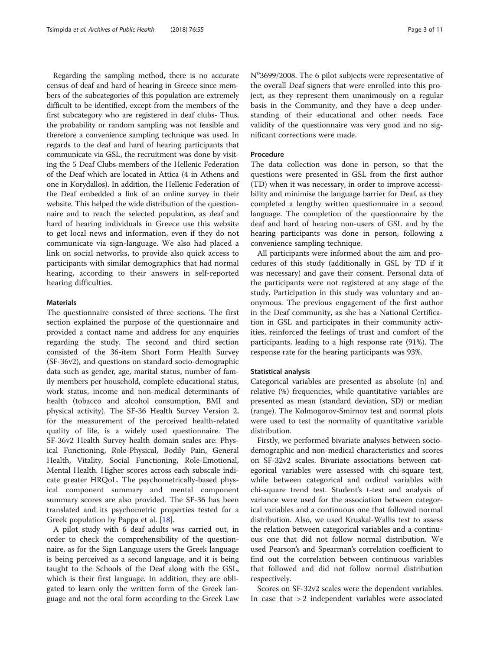Regarding the sampling method, there is no accurate census of deaf and hard of hearing in Greece since members of the subcategories of this population are extremely difficult to be identified, except from the members of the first subcategory who are registered in deaf clubs- Thus, the probability or random sampling was not feasible and therefore a convenience sampling technique was used. In regards to the deaf and hard of hearing participants that communicate via GSL, the recruitment was done by visiting the 5 Deaf Clubs-members of the Hellenic Federation of the Deaf which are located in Attica (4 in Athens and one in Korydallos). In addition, the Hellenic Federation of the Deaf embedded a link of an online survey in their website. This helped the wide distribution of the questionnaire and to reach the selected population, as deaf and hard of hearing individuals in Greece use this website to get local news and information, even if they do not communicate via sign-language. We also had placed a link on social networks, to provide also quick access to participants with similar demographics that had normal hearing, according to their answers in self-reported hearing difficulties.

### Materials

The questionnaire consisted of three sections. The first section explained the purpose of the questionnaire and provided a contact name and address for any enquiries regarding the study. The second and third section consisted of the 36-item Short Form Health Survey (SF-36v2), and questions on standard socio-demographic data such as gender, age, marital status, number of family members per household, complete educational status, work status, income and non-medical determinants of health (tobacco and alcohol consumption, BMI and physical activity). The SF-36 Health Survey Version 2, for the measurement of the perceived health-related quality of life, is a widely used questionnaire. The SF-36v2 Health Survey health domain scales are: Physical Functioning, Role-Physical, Bodily Pain, General Health, Vitality, Social Functioning, Role-Emotional, Mental Health. Higher scores across each subscale indicate greater HRQoL. The psychometrically-based physical component summary and mental component summary scores are also provided. The SF-36 has been translated and its psychometric properties tested for a Greek population by Pappa et al. [\[18\]](#page-10-0).

A pilot study with 6 deaf adults was carried out, in order to check the comprehensibility of the questionnaire, as for the Sign Language users the Greek language is being perceived as a second language, and it is being taught to the Schools of the Deaf along with the GSL, which is their first language. In addition, they are obligated to learn only the written form of the Greek language and not the oral form according to the Greek Law

N°3699/2008. The 6 pilot subjects were representative of the overall Deaf signers that were enrolled into this project, as they represent them unanimously on a regular basis in the Community, and they have a deep understanding of their educational and other needs. Face validity of the questionnaire was very good and no significant corrections were made.

# Procedure

The data collection was done in person, so that the questions were presented in GSL from the first author (TD) when it was necessary, in order to improve accessibility and minimise the language barrier for Deaf, as they completed a lengthy written questionnaire in a second language. The completion of the questionnaire by the deaf and hard of hearing non-users of GSL and by the hearing participants was done in person, following a convenience sampling technique.

All participants were informed about the aim and procedures of this study (additionally in GSL by TD if it was necessary) and gave their consent. Personal data of the participants were not registered at any stage of the study. Participation in this study was voluntary and anonymous. The previous engagement of the first author in the Deaf community, as she has a National Certification in GSL and participates in their community activities, reinforced the feelings of trust and comfort of the participants, leading to a high response rate (91%). The response rate for the hearing participants was 93%.

### Statistical analysis

Categorical variables are presented as absolute (n) and relative (%) frequencies, while quantitative variables are presented as mean (standard deviation, SD) or median (range). The Kolmogorov-Smirnov test and normal plots were used to test the normality of quantitative variable distribution.

Firstly, we performed bivariate analyses between sociodemographic and non-medical characteristics and scores on SF-32v2 scales. Bivariate associations between categorical variables were assessed with chi-square test, while between categorical and ordinal variables with chi-square trend test. Student's t-test and analysis of variance were used for the association between categorical variables and a continuous one that followed normal distribution. Also, we used Kruskal-Wallis test to assess the relation between categorical variables and a continuous one that did not follow normal distribution. We used Pearson's and Spearman's correlation coefficient to find out the correlation between continuous variables that followed and did not follow normal distribution respectively.

Scores on SF-32v2 scales were the dependent variables. In case that  $> 2$  independent variables were associated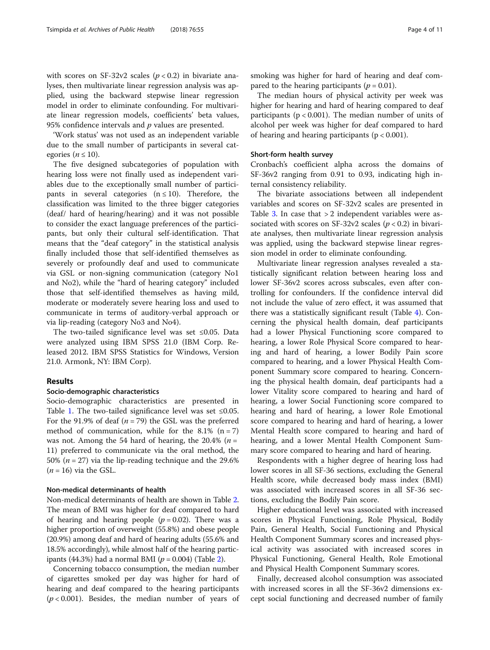with scores on SF-32v2 scales ( $p < 0.2$ ) in bivariate analyses, then multivariate linear regression analysis was applied, using the backward stepwise linear regression model in order to eliminate confounding. For multivariate linear regression models, coefficients' beta values, 95% confidence intervals and  $p$  values are presented.

'Work status' was not used as an independent variable due to the small number of participants in several categories ( $n \leq 10$ ).

The five designed subcategories of population with hearing loss were not finally used as independent variables due to the exceptionally small number of participants in several categories  $(n \le 10)$ . Therefore, the classification was limited to the three bigger categories (deaf/ hard of hearing/hearing) and it was not possible to consider the exact language preferences of the participants, but only their cultural self-identification. That means that the "deaf category" in the statistical analysis finally included those that self-identified themselves as severely or profoundly deaf and used to communicate via GSL or non-signing communication (category No1 and No2), while the "hard of hearing category" included those that self-identified themselves as having mild, moderate or moderately severe hearing loss and used to communicate in terms of auditory-verbal approach or via lip-reading (category No3 and No4).

The two-tailed significance level was set ≤0.05. Data were analyzed using IBM SPSS 21.0 (IBM Corp. Released 2012. IBM SPSS Statistics for Windows, Version 21.0. Armonk, NY: IBM Corp).

# Results

### Socio-demographic characteristics

Socio-demographic characteristics are presented in Table [1.](#page-4-0) The two-tailed significance level was set  $\leq 0.05$ . For the 91.9% of deaf  $(n = 79)$  the GSL was the preferred method of communication, while for the 8.1%  $(n = 7)$ was not. Among the 54 hard of hearing, the 20.4% ( $n =$ 11) preferred to communicate via the oral method, the 50% ( $n = 27$ ) via the lip-reading technique and the 29.6%  $(n = 16)$  via the GSL.

## Non-medical determinants of health

Non-medical determinants of health are shown in Table [2](#page-5-0). The mean of BMI was higher for deaf compared to hard of hearing and hearing people  $(p = 0.02)$ . There was a higher proportion of overweight (55.8%) and obese people (20.9%) among deaf and hard of hearing adults (55.6% and 18.5% accordingly), while almost half of the hearing participants (44.3%) had a normal BMI ( $p = 0.004$ ) (Table [2\)](#page-5-0).

Concerning tobacco consumption, the median number of cigarettes smoked per day was higher for hard of hearing and deaf compared to the hearing participants  $(p < 0.001)$ . Besides, the median number of years of

The median hours of physical activity per week was higher for hearing and hard of hearing compared to deaf participants ( $p < 0.001$ ). The median number of units of alcohol per week was higher for deaf compared to hard of hearing and hearing participants ( $p < 0.001$ ).

## Short-form health survey

Cronbach's coefficient alpha across the domains of SF-36v2 ranging from 0.91 to 0.93, indicating high internal consistency reliability.

The bivariate associations between all independent variables and scores on SF-32v2 scales are presented in Table [3](#page-6-0). In case that  $> 2$  independent variables were associated with scores on SF-32v2 scales ( $p < 0.2$ ) in bivariate analyses, then multivariate linear regression analysis was applied, using the backward stepwise linear regression model in order to eliminate confounding.

Multivariate linear regression analyses revealed a statistically significant relation between hearing loss and lower SF-36v2 scores across subscales, even after controlling for confounders. If the confidence interval did not include the value of zero effect, it was assumed that there was a statistically significant result (Table [4](#page-7-0)). Concerning the physical health domain, deaf participants had a lower Physical Functioning score compared to hearing, a lower Role Physical Score compared to hearing and hard of hearing, a lower Bodily Pain score compared to hearing, and a lower Physical Health Component Summary score compared to hearing. Concerning the physical health domain, deaf participants had a lower Vitality score compared to hearing and hard of hearing, a lower Social Functioning score compared to hearing and hard of hearing, a lower Role Emotional score compared to hearing and hard of hearing, a lower Mental Health score compared to hearing and hard of hearing, and a lower Mental Health Component Summary score compared to hearing and hard of hearing.

Respondents with a higher degree of hearing loss had lower scores in all SF-36 sections, excluding the General Health score, while decreased body mass index (BMI) was associated with increased scores in all SF-36 sections, excluding the Bodily Pain score.

Higher educational level was associated with increased scores in Physical Functioning, Role Physical, Bodily Pain, General Health, Social Functioning and Physical Health Component Summary scores and increased physical activity was associated with increased scores in Physical Functioning, General Health, Role Emotional and Physical Health Component Summary scores.

Finally, decreased alcohol consumption was associated with increased scores in all the SF-36v2 dimensions except social functioning and decreased number of family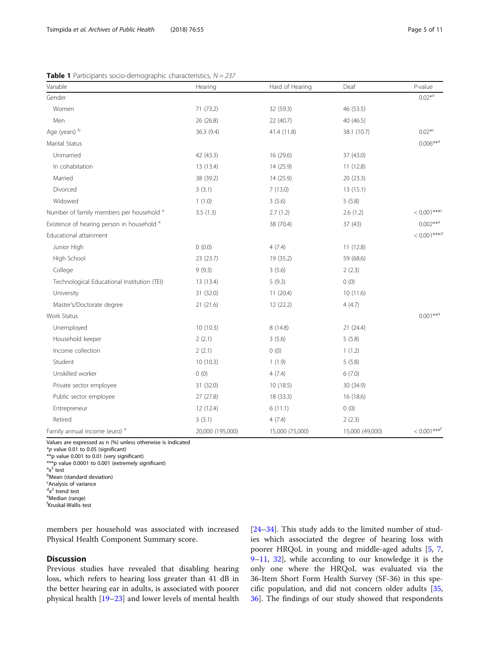| Variable                                            | Hearing          | Hard of Hearing | Deaf            | $P$ -value                 |
|-----------------------------------------------------|------------------|-----------------|-----------------|----------------------------|
| Gender                                              |                  |                 |                 | $0.02*$ <sup>a</sup>       |
| Women                                               | 71 (73.2)        | 32 (59.3)       | 46 (53.5)       |                            |
| Men                                                 | 26 (26.8)        | 22(40.7)        | 40 (46.5)       |                            |
| Age (years) b                                       | 36.3(9.4)        | 41.4 (11.8)     | 38.1 (10.7)     | $0.02*^c$                  |
| Marital Status                                      |                  |                 |                 | $0.006***$ <sup>a</sup>    |
| Unmarried                                           | 42 (43.3)        | 16 (29.6)       | 37 (43.0)       |                            |
| In cohabitation                                     | 13 (13.4)        | 14 (25.9)       | 11(12.8)        |                            |
| Married                                             | 38 (39.2)        | 14 (25.9)       | 20 (23.3)       |                            |
| Divorced                                            | 3(3.1)           | 7(13.0)         | 13(15.1)        |                            |
| Widowed                                             | 1(1.0)           | 3(5.6)          | 5(5.8)          |                            |
| Number of family members per household <sup>e</sup> | 3.5(1.3)         | 2.7(1.2)        | 2.6(1.2)        | $< 0.001$ *** <sup>c</sup> |
| Existence of hearing person in household a          |                  | 38 (70.4)       | 37 (43)         | $0.002***$ <sup>a</sup>    |
| Educational attainment                              |                  |                 |                 | $< 0.001***^{\text{d}}$    |
| Junior High                                         | 0(0.0)           | 4(7.4)          | 11(12.8)        |                            |
| High School                                         | 23 (23.7)        | 19 (35.2)       | 59 (68.6)       |                            |
| College                                             | 9(9.3)           | 3(5.6)          | 2(2.3)          |                            |
| Technological Educational Institution (TEI)         | 13 (13.4)        | 5(9.3)          | 0(0)            |                            |
| University                                          | 31 (32.0)        | 11(20.4)        | 10(11.6)        |                            |
| Master's/Doctorate degree                           | 21(21.6)         | 12(22.2)        | 4(4.7)          |                            |
| Work Status                                         |                  |                 |                 | $0.001***$ <sup>a</sup>    |
| Unemployed                                          | 10(10.3)         | 8(14.8)         | 21(24.4)        |                            |
| Household keeper                                    | 2(2.1)           | 3(5.6)          | 5(5.8)          |                            |
| Income collection                                   | 2(2.1)           | 0(0)            | 1(1.2)          |                            |
| Student                                             | 10(10.3)         | 1(1.9)          | 5(5.8)          |                            |
| Unskilled worker                                    | 0(0)             | 4(7.4)          | 6(7.0)          |                            |
| Private sector employee                             | 31 (32.0)        | 10(18.5)        | 30 (34.9)       |                            |
| Public sector employee                              | 27 (27.8)        | 18 (33.3)       | 16 (18.6)       |                            |
| Entrepreneur                                        | 12 (12.4)        | 6(11.1)         | 0(0)            |                            |
| Retired                                             | 3(3.1)           | 4(7.4)          | 2(2.3)          |                            |
| Family annual income (euro) <sup>e</sup>            | 20,000 (195,000) | 15,000 (75,000) | 15,000 (49,000) | $< 0.001***$               |

<span id="page-4-0"></span>**Table 1** Participants socio-demographic characteristics,  $N = 237$ 

Values are expressed as n (%) unless otherwise is indicated

\*p value 0.01 to 0.05 (significant)

\*\*p value 0.001 to 0.01 (very significant)

\*\*\*p value 0.0001 to 0.001 (extremely significant)

<sup>a</sup>x<sup>2</sup> test

Mean (standard deviation)

<sup>c</sup>Analysis of variance

Median (range) f Kruskal-Wallis test

members per household was associated with increased Physical Health Component Summary score.

# **Discussion**

Previous studies have revealed that disabling hearing loss, which refers to hearing loss greater than 41 dB in the better hearing ear in adults, is associated with poorer physical health [\[19](#page-10-0)–[23\]](#page-10-0) and lower levels of mental health [[24](#page-10-0)–[34](#page-10-0)]. This study adds to the limited number of studies which associated the degree of hearing loss with poorer HRQoL in young and middle-aged adults [\[5](#page-9-0), [7](#page-9-0), [9](#page-9-0)–[11](#page-10-0), [32](#page-10-0)], while according to our knowledge it is the only one where the HRQoL was evaluated via the 36-Item Short Form Health Survey (SF-36) in this specific population, and did not concern older adults [[35](#page-10-0), [36\]](#page-10-0). The findings of our study showed that respondents

<sup>&</sup>lt;sup>d</sup>x<sup>2</sup> trend test<br><sup>e</sup>Modian (ranc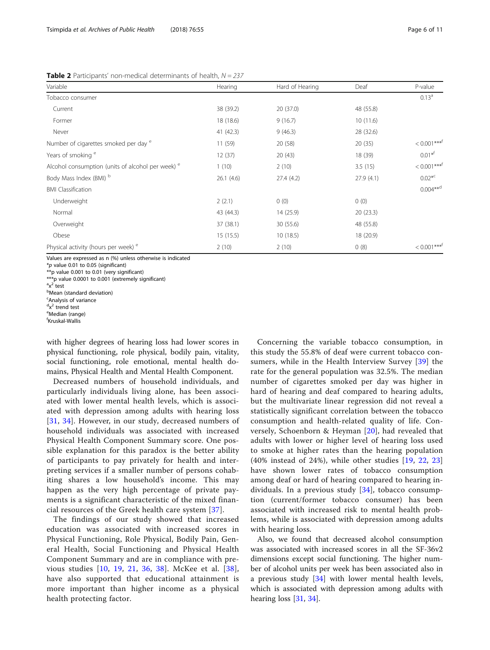<span id="page-5-0"></span>

| <b>Table 2</b> Participants' non-medical determinants of health, $N = 237$ |  |
|----------------------------------------------------------------------------|--|
|----------------------------------------------------------------------------|--|

| Variable                                                     | Hearing   | Hard of Hearing | Deaf      | P-value                    |
|--------------------------------------------------------------|-----------|-----------------|-----------|----------------------------|
| Tobacco consumer                                             |           |                 |           | 0.13 <sup>a</sup>          |
| Current                                                      | 38 (39.2) | 20 (37.0)       | 48 (55.8) |                            |
| Former                                                       | 18 (18.6) | 9(16.7)         | 10(11.6)  |                            |
| Never                                                        | 41 (42.3) | 9(46.3)         | 28 (32.6) |                            |
| Number of cigarettes smoked per day <sup>e</sup>             | 11(59)    | 20 (58)         | 20(35)    | $< 0.001$ *** <sup>†</sup> |
| Years of smoking <sup>e</sup>                                | 12(37)    | 20(43)          | 18 (39)   | $0.01*^{f}$                |
| Alcohol consumption (units of alcohol per week) <sup>e</sup> | 1(10)     | 2(10)           | 3.5(15)   | $< 0.001$ *** <sup>†</sup> |
| Body Mass Index (BMI) b                                      | 26.1(4.6) | 27.4(4.2)       | 27.9(4.1) | $0.02*c$                   |
| <b>BMI Classification</b>                                    |           |                 |           | $0.004***d$                |
| Underweight                                                  | 2(2.1)    | 0(0)            | 0(0)      |                            |
| Normal                                                       | 43 (44.3) | 14 (25.9)       | 20(23.3)  |                            |
| Overweight                                                   | 37 (38.1) | 30 (55.6)       | 48 (55.8) |                            |
| Obese                                                        | 15(15.5)  | 10(18.5)        | 18 (20.9) |                            |
| Physical activity (hours per week) <sup>e</sup>              | 2(10)     | 2(10)           | 0(8)      | $< 0.001***$               |

Values are expressed as n (%) unless otherwise is indicated

\*p value 0.01 to 0.05 (significant)

\*\*p value 0.001 to 0.01 (very significant) \*\*\*p value 0.0001 to 0.001 (extremely significant)

<sup>a</sup>x<sup>2</sup> test<br><sup>b</sup>Mean Mean (standard deviation)

<sup>c</sup>Analysis of variance

<sup>d</sup>x<sup>2</sup> trend test<br><sup>e</sup>Median (rand

eMedian (range)

f Kruskal-Wallis

with higher degrees of hearing loss had lower scores in physical functioning, role physical, bodily pain, vitality, social functioning, role emotional, mental health domains, Physical Health and Mental Health Component.

Decreased numbers of household individuals, and particularly individuals living alone, has been associated with lower mental health levels, which is associated with depression among adults with hearing loss [[31](#page-10-0), [34](#page-10-0)]. However, in our study, decreased numbers of household individuals was associated with increased Physical Health Component Summary score. One possible explanation for this paradox is the better ability of participants to pay privately for health and interpreting services if a smaller number of persons cohabiting shares a low household's income. This may happen as the very high percentage of private payments is a significant characteristic of the mixed financial resources of the Greek health care system [[37](#page-10-0)].

The findings of our study showed that increased education was associated with increased scores in Physical Functioning, Role Physical, Bodily Pain, General Health, Social Functioning and Physical Health Component Summary and are in compliance with previous studies [[10](#page-10-0), [19](#page-10-0), [21,](#page-10-0) [36,](#page-10-0) [38\]](#page-10-0). McKee et al. [[38](#page-10-0)], have also supported that educational attainment is more important than higher income as a physical health protecting factor.

Concerning the variable tobacco consumption, in this study the 55.8% of deaf were current tobacco consumers, while in the Health Interview Survey [[39](#page-10-0)] the rate for the general population was 32.5%. The median number of cigarettes smoked per day was higher in hard of hearing and deaf compared to hearing adults, but the multivariate linear regression did not reveal a statistically significant correlation between the tobacco consumption and health-related quality of life. Conversely, Schoenborn & Heyman [[20\]](#page-10-0), had revealed that adults with lower or higher level of hearing loss used to smoke at higher rates than the hearing population (40% instead of 24%), while other studies [\[19](#page-10-0), [22,](#page-10-0) [23](#page-10-0)] have shown lower rates of tobacco consumption among deaf or hard of hearing compared to hearing individuals. In a previous study [[34](#page-10-0)], tobacco consumption (current/former tobacco consumer) has been associated with increased risk to mental health problems, while is associated with depression among adults with hearing loss.

Also, we found that decreased alcohol consumption was associated with increased scores in all the SF-36v2 dimensions except social functioning. The higher number of alcohol units per week has been associated also in a previous study [\[34](#page-10-0)] with lower mental health levels, which is associated with depression among adults with hearing loss [\[31](#page-10-0), [34](#page-10-0)].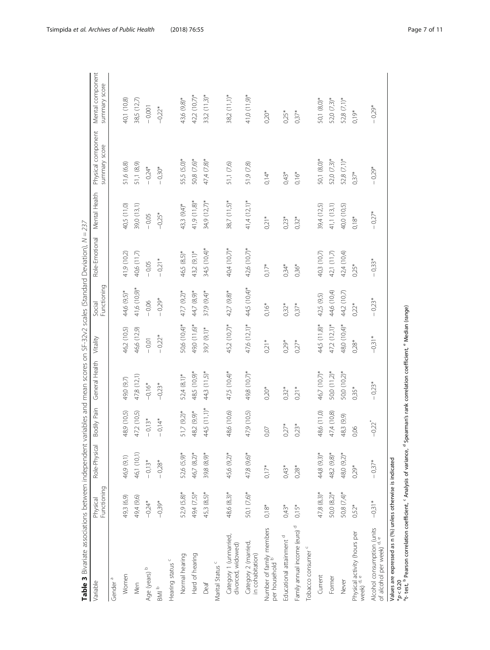<span id="page-6-0"></span>

| Table 3 Bivariate associations between independent variables and mean scores on SF-32v2 scales (Standard Deviation), N = 237                                                                                                                                         |                         |               |                      |                 |               |                       |                |                 |                                     |                                   |
|----------------------------------------------------------------------------------------------------------------------------------------------------------------------------------------------------------------------------------------------------------------------|-------------------------|---------------|----------------------|-----------------|---------------|-----------------------|----------------|-----------------|-------------------------------------|-----------------------------------|
| <b>Variable</b>                                                                                                                                                                                                                                                      | Functioning<br>Physical | Role-Physical | Bodily Pain          | General Health  | Vitality      | Social<br>Functioning | Role-Emotional | Mental Health   | Physical component<br>summary score | Mental component<br>summary score |
| Gender <sup>a</sup>                                                                                                                                                                                                                                                  |                         |               |                      |                 |               |                       |                |                 |                                     |                                   |
| Women                                                                                                                                                                                                                                                                | 49,3 (6,9)              | 46,9 (9,1)    | 48,9 (10,5)          | 49,0 (9,7)      | 46,2 (10,5)   | 44,6 (9,5)*           | 41,9 (10,2)    | 40,5 (11,0)     | 51,6 (6,8)                          | 40,1 (10,8)                       |
| Men                                                                                                                                                                                                                                                                  | 49,4 (9,6)              | 46,1 (10,1)   | 47,2 (10,5)          | 47,8 (12,1)     | 46,6 (12,9)   | 41,6 (10,9)*          | 40,6 (11,7)    | 39,0 (13,1)     | 51,1 (8,9)                          | 38,5 (12,7)                       |
| Age (years) b                                                                                                                                                                                                                                                        | $-0,24*$                | $-0,13*$      | $-0,13*$             | $-0,16*$        | $-0,01$       | $-0,06$               | $-0,05$        | $-0,05$         | $-0,24*$                            | $-0,001$                          |
| a IMB                                                                                                                                                                                                                                                                | $-0,39*$                | $-0,28*$      | $-0,14*$             | $-0,23*$        | $-0,22*$      | $-0,29*$              | $-0,21*$       | $-0,25*$        | $-0.30*$                            | $-0,22*$                          |
| Hearing status <sup>c</sup>                                                                                                                                                                                                                                          |                         |               |                      |                 |               |                       |                |                 |                                     |                                   |
| Normal hearing                                                                                                                                                                                                                                                       | 52,9 (5,8)*             | 52,6 (5,9)*   | $51,7 (9,2)*$        | $52,4(8,1)^{*}$ | 50,6 (10,4)*  | 47,7 (9,2)*           | 46,5 (8,5)*    | 43,3 $(9,4)^*$  | 55,5 (5,0)*                         | 43,6 (9,8)*                       |
| Hard of hearing                                                                                                                                                                                                                                                      | 49,4 (7,5)*             | 46,7 (8,2)*   | 48,2 (9,9)*          | 48,5 (10,9)*    | 49,0 (11,6)*  | 44,7 (8,9)*           | 43,2 (9,1)*    | $41,9(11,8)*$   | 50,8 (7,6)*                         | 42,2 (10,7)*                      |
| Deaf                                                                                                                                                                                                                                                                 | 45,3 (8,5)*             | 39,8 (8,9)*   | $44,5(11,1)^*$       | $44,3(11,5)*$   | 39,7 (9,1)*   | 37,9 $(9,4)^*$        | 34,5 (10,4)*   | 34,9 $(12,7)$ * | $47,4(7,8)^*$                       | $33,2(11,3)*$                     |
| Marital Status <sup>c</sup>                                                                                                                                                                                                                                          |                         |               |                      |                 |               |                       |                |                 |                                     |                                   |
| Category 1 (unmarried,<br>divorced, widowed)                                                                                                                                                                                                                         | 48,6 (8,3)*             | 45,6 (9,2)*   | 48,6 (10,6)          | 47,5 (10,4)*    | 45,2 (10,7)*  | 42,7 (9,8)*           | 40,4 (10,7)*   | 38,7 (11,5)*    | 51,1 (7,6)                          | $38,2(11,1)*$                     |
| Category 2 (married,<br>in cohabitation)                                                                                                                                                                                                                             | 50,1 (7,6)*             | 47,8 (9,6)*   | 47,9 (10,5)          | 49,8 (10,7)*    | 47,6 (12,1)*  | 44,5 (10,4)*          | 42,6 (10,7)*   | $41,4(12,1)*$   | 51,9 (7,8)                          | 41,0 (11,9)*                      |
| Number of family members<br>per household <sup>b</sup>                                                                                                                                                                                                               | $0,18*$                 | $0,17*$       | 0,07                 | $0.20*$         | $0,21*$       | $0,16*$               | $0,17*$        | $0,21*$         | $0,14*$                             | $0,20^{*}$                        |
| Educational attainment <sup>d</sup>                                                                                                                                                                                                                                  | $0,43*$                 | $0,43*$       | $0,27*$              | $0,32*$         | $0,29*$       | $0,32*$               | $0,34*$        | $0,23*$         | $0,43*$                             | $0,25*$                           |
| Family annual income (euro) <sup>d</sup>                                                                                                                                                                                                                             | $0,15*$                 | $0,28*$       | $0,23*$              | $0,21*$         | $0,27*$       | $0,37*$               | $0,36*$        | $0,32*$         | $0,16*$                             | $0,37*$                           |
| Tobacco consumer <sup>c</sup>                                                                                                                                                                                                                                        |                         |               |                      |                 |               |                       |                |                 |                                     |                                   |
| Current                                                                                                                                                                                                                                                              | 47,8 (8,3)*             | 44,8 (9,3)*   | 48,6 (11,0)          | 46,7 (10,7)*    | $44,5(11,8)*$ | 42,5 (9,5)            | 40,3 (10,7)    | 39,4 (12,5)     | 50,1 (8,0)*                         | 50,1 (8,0)*                       |
| Former                                                                                                                                                                                                                                                               | 50,0 (8,2)*             | 48,2 (9,8)*   | 47,4 (10,8)          | $50,0(11,2)*$   | $47,2(12,1)*$ | 44,6 (10,4)           | 42,1(11,7)     | 41,1 (13,1)     | $52,0(7,3)*$                        | $52,0$ $(7,3)*$                   |
| Never                                                                                                                                                                                                                                                                | 50,8 (7,4)*             | 48,0 (9,2)*   | 48,3 (9,9)           | 50,0 (10,2)*    | 48,0 (10,4)*  | 44,2 (10,7)           | 42,4 (10,4)    | 40,0 (10,5)     | 52,8 $(7,1)^*$                      | 52,8 (7,1)*                       |
| Physical activity (hours per<br>week) <sup>d, e</sup>                                                                                                                                                                                                                | $0,52*$                 | 0,29*         | 0,06                 | $0,35*$         | $0,28$ *      | $0,22*$               | $0,25*$        | $0,18*$         | $0,37*$                             | $0,19*$                           |
| Alcohol consumption (units<br>of alcohol per week) <sup>d, e</sup>                                                                                                                                                                                                   | $-0.31*$                | $-0,37*$      | $-0.22$ <sup>*</sup> | $-0,23*$        | $-0,31*$      | $-0.23*$              | $-0.33*$       | $-0,27*$        | $-0,29*$                            | $-0.29*$                          |
| <sup>a</sup> t- test, <sup>b</sup> Pearson correlation coefficient, <sup>c</sup> Analysis of variance, <sup>d</sup> Spearman's rank correlation coefficient, <sup>e</sup> Median (range)<br>Values are expressed as n (%) unless otherwise is indicated<br>$0.026 *$ |                         |               |                      |                 |               |                       |                |                 |                                     |                                   |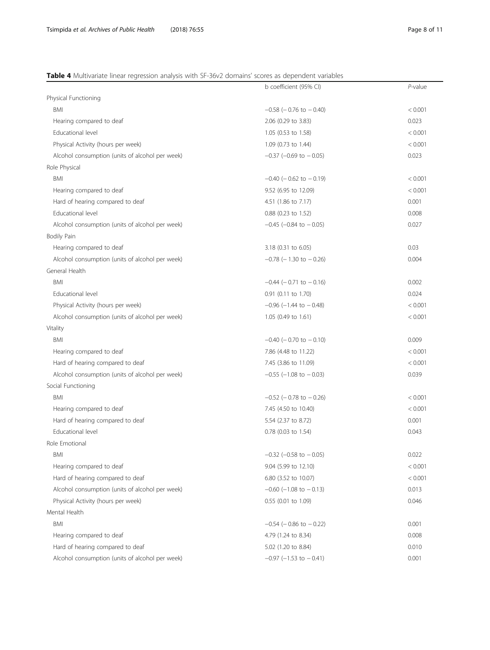# <span id="page-7-0"></span>Table 4 Multivariate linear regression analysis with SF-36v2 domains' scores as dependent variables

|                                                 | b coefficient (95% CI)         | P-value |
|-------------------------------------------------|--------------------------------|---------|
| Physical Functioning                            |                                |         |
| BMI                                             | $-0.58$ ( $-0.76$ to $-0.40$ ) | < 0.001 |
| Hearing compared to deaf                        | 2.06 (0.29 to 3.83)            | 0.023   |
| Educational level                               | 1.05 (0.53 to 1.58)            | < 0.001 |
| Physical Activity (hours per week)              | 1.09 (0.73 to 1.44)            | < 0.001 |
| Alcohol consumption (units of alcohol per week) | $-0.37$ ( $-0.69$ to $-0.05$ ) | 0.023   |
| Role Physical                                   |                                |         |
| BMI                                             | $-0.40$ ( $-0.62$ to $-0.19$ ) | < 0.001 |
| Hearing compared to deaf                        | 9.52 (6.95 to 12.09)           | < 0.001 |
| Hard of hearing compared to deaf                | 4.51 (1.86 to 7.17)            | 0.001   |
| Educational level                               | 0.88 (0.23 to 1.52)            | 0.008   |
| Alcohol consumption (units of alcohol per week) | $-0.45$ ( $-0.84$ to $-0.05$ ) | 0.027   |
| <b>Bodily Pain</b>                              |                                |         |
| Hearing compared to deaf                        | 3.18 (0.31 to 6.05)            | 0.03    |
| Alcohol consumption (units of alcohol per week) | $-0.78$ ( $-1.30$ to $-0.26$ ) | 0.004   |
| General Health                                  |                                |         |
| <b>BMI</b>                                      | $-0.44$ ( $-0.71$ to $-0.16$ ) | 0.002   |
| Educational level                               | 0.91 (0.11 to 1.70)            | 0.024   |
| Physical Activity (hours per week)              | $-0.96$ ( $-1.44$ to $-0.48$ ) | < 0.001 |
| Alcohol consumption (units of alcohol per week) | 1.05 (0.49 to 1.61)            | < 0.001 |
| Vitality                                        |                                |         |
| BMI                                             | $-0.40$ ( $-0.70$ to $-0.10$ ) | 0.009   |
| Hearing compared to deaf                        | 7.86 (4.48 to 11.22)           | < 0.001 |
| Hard of hearing compared to deaf                | 7.45 (3.86 to 11.09)           | < 0.001 |
| Alcohol consumption (units of alcohol per week) | $-0.55$ ( $-1.08$ to $-0.03$ ) | 0.039   |
| Social Functioning                              |                                |         |
| BMI                                             | $-0.52$ ( $-0.78$ to $-0.26$ ) | < 0.001 |
| Hearing compared to deaf                        | 7.45 (4.50 to 10.40)           | < 0.001 |
| Hard of hearing compared to deaf                | 5.54 (2.37 to 8.72)            | 0.001   |
| <b>Educational level</b>                        | 0.78 (0.03 to 1.54)            | 0.043   |
| Role Emotional                                  |                                |         |
| BMI                                             | $-0.32$ ( $-0.58$ to $-0.05$ ) | 0.022   |
| Hearing compared to deaf                        | 9.04 (5.99 to 12.10)           | < 0.001 |
| Hard of hearing compared to deaf                | 6.80 (3.52 to 10.07)           | < 0.001 |
| Alcohol consumption (units of alcohol per week) | $-0.60$ ( $-1.08$ to $-0.13$ ) | 0.013   |
| Physical Activity (hours per week)              | 0.55 (0.01 to 1.09)            | 0.046   |
| Mental Health                                   |                                |         |
| BMI                                             | $-0.54$ ( $-0.86$ to $-0.22$ ) | 0.001   |
| Hearing compared to deaf                        | 4.79 (1.24 to 8.34)            | 0.008   |
| Hard of hearing compared to deaf                | 5.02 (1.20 to 8.84)            | 0.010   |
| Alcohol consumption (units of alcohol per week) | $-0.97$ ( $-1.53$ to $-0.41$ ) | 0.001   |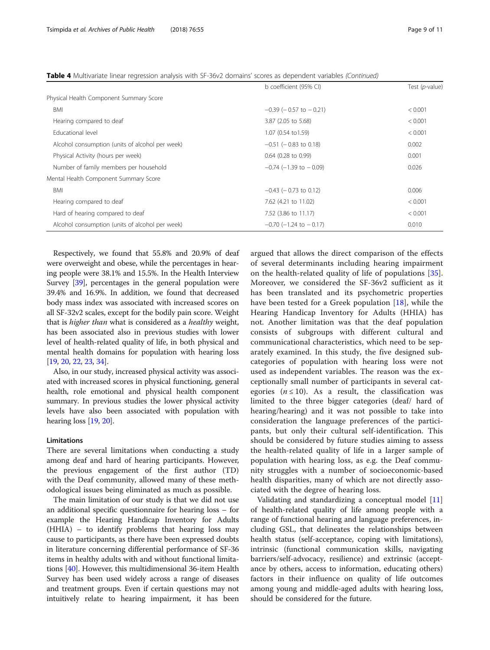### Table 4 Multivariate linear regression analysis with SF-36v2 domains' scores as dependent variables (Continued)

|                                                 | b coefficient (95% CI)         | Test (p-value) |
|-------------------------------------------------|--------------------------------|----------------|
| Physical Health Component Summary Score         |                                |                |
| BMI                                             | $-0.39$ ( $-0.57$ to $-0.21$ ) | < 0.001        |
| Hearing compared to deaf                        | 3.87 (2.05 to 5.68)            | < 0.001        |
| <b>Educational level</b>                        | 1.07 (0.54 to 1.59)            | < 0.001        |
| Alcohol consumption (units of alcohol per week) | $-0.51$ ( $-0.83$ to 0.18)     | 0.002          |
| Physical Activity (hours per week)              | $0.64$ (0.28 to 0.99)          | 0.001          |
| Number of family members per household          | $-0.74$ ( $-1.39$ to $-0.09$ ) | 0.026          |
| Mental Health Component Summary Score           |                                |                |
| BMI                                             | $-0.43$ ( $-0.73$ to 0.12)     | 0.006          |
| Hearing compared to deaf                        | 7.62 (4.21 to 11.02)           | < 0.001        |
| Hard of hearing compared to deaf                | 7.52 (3.86 to 11.17)           | < 0.001        |
| Alcohol consumption (units of alcohol per week) | $-0.70$ ( $-1.24$ to $-0.17$ ) | 0.010          |

Respectively, we found that 55.8% and 20.9% of deaf were overweight and obese, while the percentages in hearing people were 38.1% and 15.5%. In the Health Interview Survey [\[39\]](#page-10-0), percentages in the general population were 39.4% and 16.9%. In addition, we found that decreased body mass index was associated with increased scores on all SF-32v2 scales, except for the bodily pain score. Weight that is higher than what is considered as a healthy weight, has been associated also in previous studies with lower level of health-related quality of life, in both physical and mental health domains for population with hearing loss [[19](#page-10-0), [20,](#page-10-0) [22](#page-10-0), [23](#page-10-0), [34\]](#page-10-0).

Also, in our study, increased physical activity was associated with increased scores in physical functioning, general health, role emotional and physical health component summary. In previous studies the lower physical activity levels have also been associated with population with hearing loss [[19](#page-10-0), [20\]](#page-10-0).

## Limitations

There are several limitations when conducting a study among deaf and hard of hearing participants. However, the previous engagement of the first author (TD) with the Deaf community, allowed many of these methodological issues being eliminated as much as possible.

The main limitation of our study is that we did not use an additional specific questionnaire for hearing loss – for example the Hearing Handicap Inventory for Adults (HHIA) – to identify problems that hearing loss may cause to participants, as there have been expressed doubts in literature concerning differential performance of SF-36 items in healthy adults with and without functional limitations [\[40\]](#page-10-0). However, this multidimensional 36-item Health Survey has been used widely across a range of diseases and treatment groups. Even if certain questions may not intuitively relate to hearing impairment, it has been

argued that allows the direct comparison of the effects of several determinants including hearing impairment on the health-related quality of life of populations [\[35](#page-10-0)]. Moreover, we considered the SF-36v2 sufficient as it has been translated and its psychometric properties have been tested for a Greek population  $[18]$  $[18]$ , while the Hearing Handicap Inventory for Adults (HHIA) has not. Another limitation was that the deaf population consists of subgroups with different cultural and communicational characteristics, which need to be separately examined. In this study, the five designed subcategories of population with hearing loss were not used as independent variables. The reason was the exceptionally small number of participants in several categories ( $n \le 10$ ). As a result, the classification was limited to the three bigger categories (deaf/ hard of hearing/hearing) and it was not possible to take into consideration the language preferences of the participants, but only their cultural self-identification. This should be considered by future studies aiming to assess the health-related quality of life in a larger sample of population with hearing loss, as e.g. the Deaf community struggles with a number of socioeconomic-based health disparities, many of which are not directly associated with the degree of hearing loss.

Validating and standardizing a conceptual model [[11](#page-10-0)] of health-related quality of life among people with a range of functional hearing and language preferences, including GSL, that delineates the relationships between health status (self-acceptance, coping with limitations), intrinsic (functional communication skills, navigating barriers/self-advocacy, resilience) and extrinsic (acceptance by others, access to information, educating others) factors in their influence on quality of life outcomes among young and middle-aged adults with hearing loss, should be considered for the future.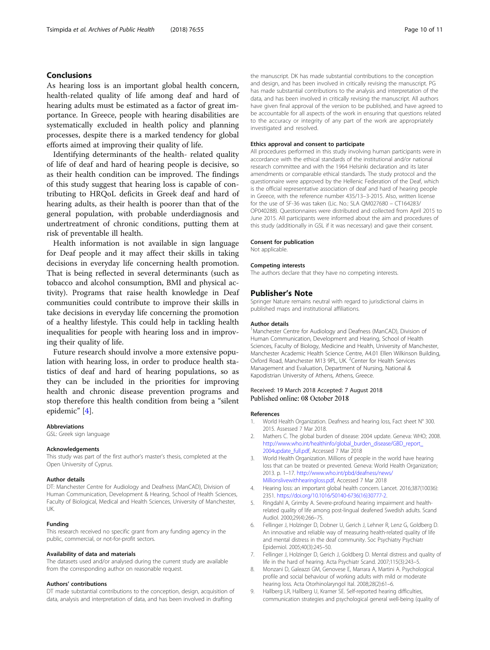# <span id="page-9-0"></span>Conclusions

As hearing loss is an important global health concern, health-related quality of life among deaf and hard of hearing adults must be estimated as a factor of great importance. In Greece, people with hearing disabilities are systematically excluded in health policy and planning processes, despite there is a marked tendency for global efforts aimed at improving their quality of life.

Identifying determinants of the health- related quality of life of deaf and hard of hearing people is decisive, so as their health condition can be improved. The findings of this study suggest that hearing loss is capable of contributing to HRQoL deficits in Greek deaf and hard of hearing adults, as their health is poorer than that of the general population, with probable underdiagnosis and undertreatment of chronic conditions, putting them at risk of preventable ill health.

Health information is not available in sign language for Deaf people and it may affect their skills in taking decisions in everyday life concerning health promotion. That is being reflected in several determinants (such as tobacco and alcohol consumption, BMI and physical activity). Programs that raise health knowledge in Deaf communities could contribute to improve their skills in take decisions in everyday life concerning the promotion of a healthy lifestyle. This could help in tackling health inequalities for people with hearing loss and in improving their quality of life.

Future research should involve a more extensive population with hearing loss, in order to produce health statistics of deaf and hard of hearing populations, so as they can be included in the priorities for improving health and chronic disease prevention programs and stop therefore this health condition from being a "silent epidemic" [4].

#### Abbreviations

GSL: Greek sign language

#### Acknowledgements

This study was part of the first author's master's thesis, completed at the Open University of Cyprus.

#### Author details

DT: Manchester Centre for Audiology and Deafness (ManCAD), Division of Human Communication, Development & Hearing, School of Health Sciences, Faculty of Biological, Medical and Health Sciences, University of Manchester, UK.

### Funding

This research received no specific grant from any funding agency in the public, commercial, or not-for-profit sectors.

### Availability of data and materials

The datasets used and/or analysed during the current study are available from the corresponding author on reasonable request.

#### Authors' contributions

DT made substantial contributions to the conception, design, acquisition of data, analysis and interpretation of data, and has been involved in drafting

the manuscript. DK has made substantial contributions to the conception and design, and has been involved in critically revising the manuscript. PG has made substantial contributions to the analysis and interpretation of the data, and has been involved in critically revising the manuscript. All authors have given final approval of the version to be published, and have agreed to be accountable for all aspects of the work in ensuring that questions related to the accuracy or integrity of any part of the work are appropriately investigated and resolved.

### Ethics approval and consent to participate

All procedures performed in this study involving human participants were in accordance with the ethical standards of the institutional and/or national research committee and with the 1964 Helsinki declaration and its later amendments or comparable ethical standards. The study protocol and the questionnaire were approved by the Hellenic Federation of the Deaf, which is the official representative association of deaf and hard of hearing people in Greece, with the reference number 435/13–3-2015. Also, written license for the use of SF-36 was taken (Lic. No.: SLA QM027680 – CT164283/ OP040288). Questionnaires were distributed and collected from April 2015 to June 2015. All participants were informed about the aim and procedures of this study (additionally in GSL if it was necessary) and gave their consent.

#### Consent for publication

Not applicable.

## Competing interests

The authors declare that they have no competing interests.

#### Publisher's Note

Springer Nature remains neutral with regard to jurisdictional claims in published maps and institutional affiliations.

#### Author details

<sup>1</sup>Manchester Centre for Audiology and Deafness (ManCAD), Division of Human Communication, Development and Hearing, School of Health Sciences, Faculty of Biology, Medicine and Health, University of Manchester, Manchester Academic Health Science Centre, A4.01 Ellen Wilkinson Building, Oxford Road, Manchester M13 9PL, UK. <sup>2</sup> Center for Health Services Management and Evaluation, Department of Nursing, National & Kapodistrian University of Athens, Athens, Greece.

### Received: 19 March 2018 Accepted: 7 August 2018 Published online: 08 October 2018

#### References

- 1. World Health Organization. Deafness and hearing loss, Fact sheet N° 300. 2015. Assessed 7 Mar 2018.
- 2. Mathers C. The global burden of disease: 2004 update. Geneva: WHO; 2008. [http://www.who.int/healthinfo/global\\_burden\\_disease/GBD\\_report\\_](http://www.who.int/healthinfo/global_burden_disease/GBD_report_2004update_full.pdf) [2004update\\_full.pdf](http://www.who.int/healthinfo/global_burden_disease/GBD_report_2004update_full.pdf), Accessed 7 Mar 2018
- 3. World Health Organization. Millions of people in the world have hearing loss that can be treated or prevented. Geneva: World Health Organization; 2013. p. 1–17. [http://www.who.int/pbd/deafness/news/](http://www.who.int/pbd/deafness/news/Millionslivewithhearingloss.pdf) [Millionslivewithhearingloss.pdf](http://www.who.int/pbd/deafness/news/Millionslivewithhearingloss.pdf), Accessed 7 Mar 2018
- 4. Hearing loss: an important global health concern. Lancet. 2016;387(10036): 2351. [https://doi.org/10.1016/S0140-6736\(16\)30777-2.](https://doi.org/10.1016/S0140-6736(16)30777-2)
- 5. Ringdahl A, Grimby A. Severe-profound hearing impairment and healthrelated quality of life among post-lingual deafened Swedish adults. Scand Audiol. 2000;29(4):266–75.
- 6. Fellinger J, Holzinger D, Dobner U, Gerich J, Lehner R, Lenz G, Goldberg D. An innovative and reliable way of measuring health-related quality of life and mental distress in the deaf community. Soc Psychiatry Psychiatr Epidemiol. 2005;40(3):245–50.
- 7. Fellinger J, Holzinger D, Gerich J, Goldberg D. Mental distress and quality of life in the hard of hearing. Acta Psychiatr Scand. 2007;115(3):243–5.
- 8. Monzani D, Galeazzi GM, Genovese E, Marrara A, Martini A. Psychological profile and social behaviour of working adults with mild or moderate hearing loss. Acta Otorhinolaryngol Ital. 2008;28(2):61–6.
- 9. Hallberg LR, Hallberg U, Kramer SE. Self-reported hearing difficulties, communication strategies and psychological general well-being (quality of